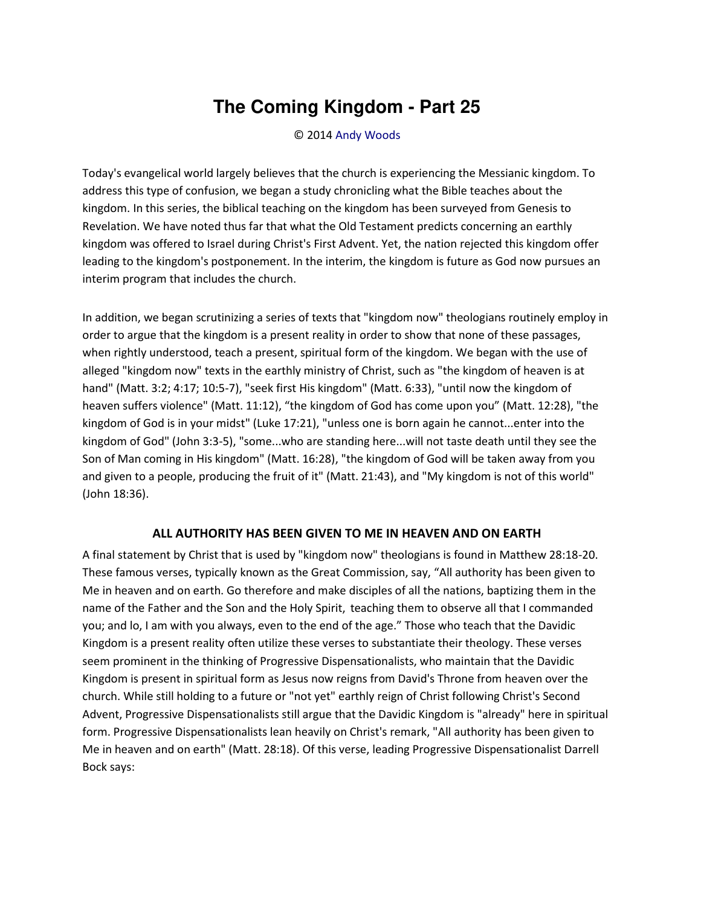## **The Coming Kingdom - Part 25**

© 2014 [Andy Woods](http://www.spiritandtruth.org/id/aw.htm)

Today's evangelical world largely believes that the church is experiencing the Messianic kingdom. To address this type of confusion, we began a study chronicling what the Bible teaches about the kingdom. In this series, the biblical teaching on the kingdom has been surveyed from Genesis to Revelation. We have noted thus far that what the Old Testament predicts concerning an earthly kingdom was offered to Israel during Christ's First Advent. Yet, the nation rejected this kingdom offer leading to the kingdom's postponement. In the interim, the kingdom is future as God now pursues an interim program that includes the church.

In addition, we began scrutinizing a series of texts that "kingdom now" theologians routinely employ in order to argue that the kingdom is a present reality in order to show that none of these passages, when rightly understood, teach a present, spiritual form of the kingdom. We began with the use of alleged "kingdom now" texts in the earthly ministry of Christ, such as "the kingdom of heaven is at hand" (Matt. 3:2; 4:17; 10:5-7), "seek first His kingdom" (Matt. 6:33), "until now the kingdom of heaven suffers violence" (Matt. 11:12), "the kingdom of God has come upon you" (Matt. 12:28), "the kingdom of God is in your midst" (Luke 17:21), "unless one is born again he cannot...enter into the kingdom of God" (John 3:3-5), "some...who are standing here...will not taste death until they see the Son of Man coming in His kingdom" (Matt. 16:28), "the kingdom of God will be taken away from you and given to a people, producing the fruit of it" (Matt. 21:43), and "My kingdom is not of this world" (John 18:36).

## **ALL AUTHORITY HAS BEEN GIVEN TO ME IN HEAVEN AND ON EARTH**

A final statement by Christ that is used by "kingdom now" theologians is found in Matthew 28:18-20. These famous verses, typically known as the Great Commission, say, "All authority has been given to Me in heaven and on earth. Go therefore and make disciples of all the nations, baptizing them in the name of the Father and the Son and the Holy Spirit, teaching them to observe all that I commanded you; and lo, I am with you always, even to the end of the age.<sup>"</sup> Those who teach that the Davidic Kingdom is a present reality often utilize these verses to substantiate their theology. These verses seem prominent in the thinking of Progressive Dispensationalists, who maintain that the Davidic Kingdom is present in spiritual form as Jesus now reigns from David's Throne from heaven over the church. While still holding to a future or "not yet" earthly reign of Christ following Christ's Second Advent, Progressive Dispensationalists still argue that the Davidic Kingdom is "already" here in spiritual form. Progressive Dispensationalists lean heavily on Christ's remark, "All authority has been given to Me in heaven and on earth" (Matt. 28:18). Of this verse, leading Progressive Dispensationalist Darrell Bock says: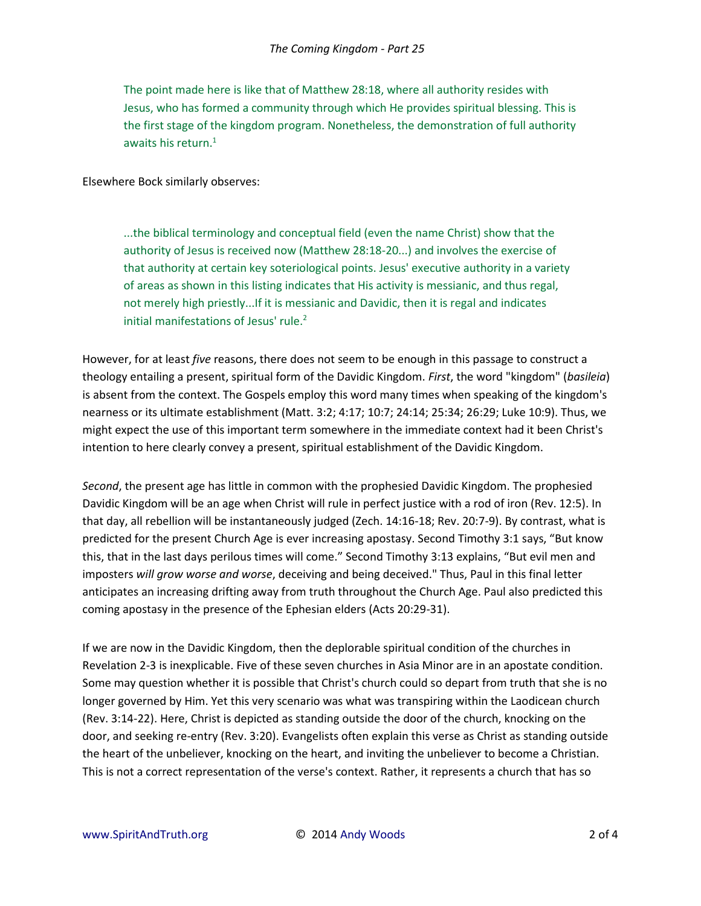The point made here is like that of Matthew 28:18, where all authority resides with Jesus, who has formed a community through which He provides spiritual blessing. This is the first stage of the kingdom program. Nonetheless, the demonstration of full authority awaits his return. $1$ 

Elsewhere Bock similarly observes:

...the biblical terminology and conceptual field (even the name Christ) show that the authority of Jesus is received now (Matthew 28:18-20...) and involves the exercise of that authority at certain key soteriological points. Jesus' executive authority in a variety of areas as shown in this listing indicates that His activity is messianic, and thus regal, not merely high priestly...If it is messianic and Davidic, then it is regal and indicates initial manifestations of Jesus' rule.<sup>2</sup>

However, for at least *five* reasons, there does not seem to be enough in this passage to construct a theology entailing a present, spiritual form of the Davidic Kingdom. *First*, the word "kingdom" (*basileia*) is absent from the context. The Gospels employ this word many times when speaking of the kingdom's nearness or its ultimate establishment (Matt. 3:2; 4:17; 10:7; 24:14; 25:34; 26:29; Luke 10:9). Thus, we might expect the use of this important term somewhere in the immediate context had it been Christ's intention to here clearly convey a present, spiritual establishment of the Davidic Kingdom.

*Second*, the present age has little in common with the prophesied Davidic Kingdom. The prophesied Davidic Kingdom will be an age when Christ will rule in perfect justice with a rod of iron (Rev. 12:5). In that day, all rebellion will be instantaneously judged (Zech. 14:16-18; Rev. 20:7-9). By contrast, what is predicted for the present Church Age is ever increasing apostasy. Second Timothy 3:1 says, "But know this, that in the last days perilous times will come.<sup>™</sup> Second Timothy 3:13 explains, "But evil men and imposters *will grow worse and worse*, deceiving and being deceived." Thus, Paul in this final letter anticipates an increasing drifting away from truth throughout the Church Age. Paul also predicted this coming apostasy in the presence of the Ephesian elders (Acts 20:29-31).

If we are now in the Davidic Kingdom, then the deplorable spiritual condition of the churches in Revelation 2-3 is inexplicable. Five of these seven churches in Asia Minor are in an apostate condition. Some may question whether it is possible that Christ's church could so depart from truth that she is no longer governed by Him. Yet this very scenario was what was transpiring within the Laodicean church (Rev. 3:14-22). Here, Christ is depicted as standing outside the door of the church, knocking on the door, and seeking re-entry (Rev. 3:20). Evangelists often explain this verse as Christ as standing outside the heart of the unbeliever, knocking on the heart, and inviting the unbeliever to become a Christian. This is not a correct representation of the verse's context. Rather, it represents a church that has so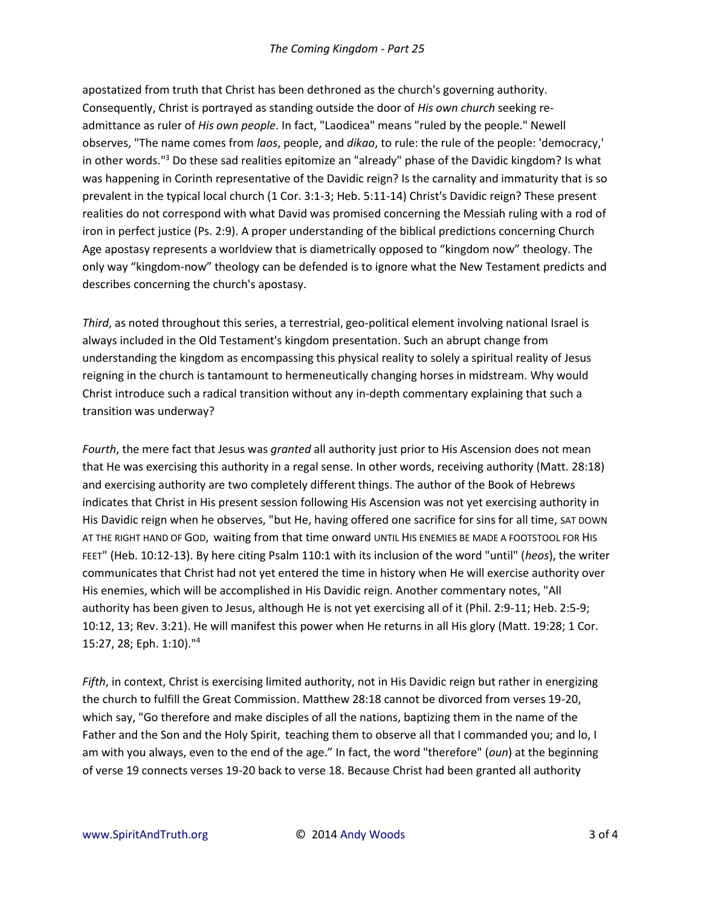apostatized from truth that Christ has been dethroned as the church's governing authority. Consequently, Christ is portrayed as standing outside the door of *His own church* seeking readmittance as ruler of *His own people*. In fact, "Laodicea" means "ruled by the people." Newell observes, "The name comes from *laos*, people, and *dikao*, to rule: the rule of the people: 'democracy,' in other words."<sup>3</sup> Do these sad realities epitomize an "already" phase of the Davidic kingdom? Is what was happening in Corinth representative of the Davidic reign? Is the carnality and immaturity that is so prevalent in the typical local church (1 Cor. 3:1-3; Heb. 5:11-14) Christ's Davidic reign? These present realities do not correspond with what David was promised concerning the Messiah ruling with a rod of iron in perfect justice (Ps. 2:9). A proper understanding of the biblical predictions concerning Church Age apostasy represents a worldview that is diametrically opposed to "kingdom now" theology. The only way "kingdom-now" theology can be defended is to ignore what the New Testament predicts and describes concerning the church's apostasy.

*Third*, as noted throughout this series, a terrestrial, geo-political element involving national Israel is always included in the Old Testament's kingdom presentation. Such an abrupt change from understanding the kingdom as encompassing this physical reality to solely a spiritual reality of Jesus reigning in the church is tantamount to hermeneutically changing horses in midstream. Why would Christ introduce such a radical transition without any in-depth commentary explaining that such a transition was underway?

*Fourth*, the mere fact that Jesus was *granted* all authority just prior to His Ascension does not mean that He was exercising this authority in a regal sense. In other words, receiving authority (Matt. 28:18) and exercising authority are two completely different things. The author of the Book of Hebrews indicates that Christ in His present session following His Ascension was not yet exercising authority in His Davidic reign when he observes, "but He, having offered one sacrifice for sins for all time, SAT DOWN AT THE RIGHT HAND OF GOD, waiting from that time onward UNTIL HIS ENEMIES BE MADE A FOOTSTOOL FOR HIS FEET" (Heb. 10:12-13). By here citing Psalm 110:1 with its inclusion of the word "until" (*heos*), the writer communicates that Christ had not yet entered the time in history when He will exercise authority over His enemies, which will be accomplished in His Davidic reign. Another commentary notes, "All authority has been given to Jesus, although He is not yet exercising all of it (Phil. 2:9-11; Heb. 2:5-9; 10:12, 13; Rev. 3:21). He will manifest this power when He returns in all His glory (Matt. 19:28; 1 Cor. 15:27, 28; Eph. 1:10)."<sup>4</sup>

*Fifth*, in context, Christ is exercising limited authority, not in His Davidic reign but rather in energizing the church to fulfill the Great Commission. Matthew 28:18 cannot be divorced from verses 19-20, which say, "Go therefore and make disciples of all the nations, baptizing them in the name of the Father and the Son and the Holy Spirit, teaching them to observe all that I commanded you; and lo, I am with you always, even to the end of the age.<sup>*"*</sup> In fact, the word "therefore" (*oun*) at the beginning of verse 19 connects verses 19-20 back to verse 18. Because Christ had been granted all authority